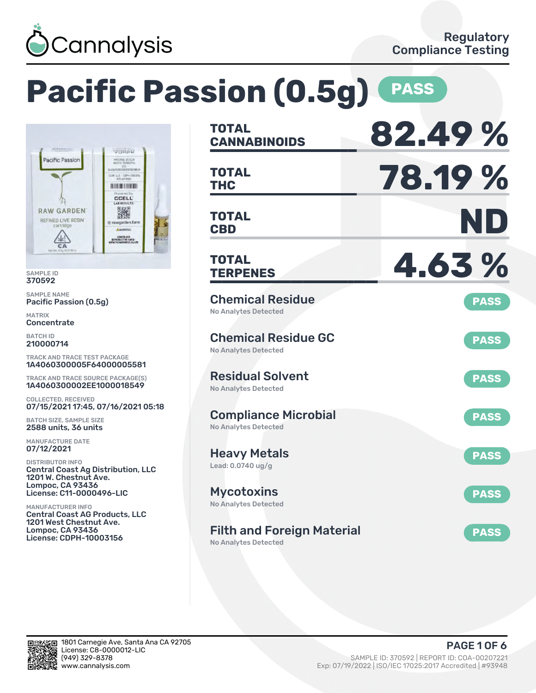

# **Pacific Passion (0.5g)** PASS



SAMPLE ID 370592

SAMPLE NAME Pacific Passion (0.5g)

MATRIX **Concentrate** 

BATCH ID 210000714

TRACK AND TRACE TEST PACKAGE 1A4060300005F64000005581

TRACK AND TRACE SOURCE PACKAGE(S) 1A4060300002EE1000018549

COLLECTED, RECEIVED 07/15/2021 17:45, 07/16/2021 05:18

BATCH SIZE, SAMPLE SIZE 2588 units, 36 units

MANUFACTURE DATE 07/12/2021

DISTRIBUTOR INFO Central Coast Ag Distribution, LLC 1201 W. Chestnut Ave. Lompoc, CA 93436 License: C11-0000496-LIC

MANUFACTURER INFO Central Coast AG Products, LLC 1201 West Chestnut Ave. Lompoc, CA 93436 License: CDPH-10003156

| <b>TOTAL</b><br><b>CANNABINOIDS</b>                              | 82.49%      |
|------------------------------------------------------------------|-------------|
| <b>TOTAL</b><br>THC                                              | 78.19%      |
| <b>TOTAL</b><br><b>CBD</b>                                       | ND          |
| <b>TOTAL</b><br><b>TERPENES</b>                                  | 4.63%       |
| <b>Chemical Residue</b><br><b>No Analytes Detected</b>           | <b>PASS</b> |
| <b>Chemical Residue GC</b><br>No Analytes Detected               | <b>PASS</b> |
| <b>Residual Solvent</b><br><b>No Analytes Detected</b>           | <b>PASS</b> |
| <b>Compliance Microbial</b><br><b>No Analytes Detected</b>       | <b>PASS</b> |
| Heavy Metals<br>Lead: 0.0740 ug/g                                | <b>PASS</b> |
| Mycotoxins<br>No Analytes Detected                               | <b>PASS</b> |
| <b>Filth and Foreign Material</b><br><b>No Analytes Detected</b> | <b>PASS</b> |

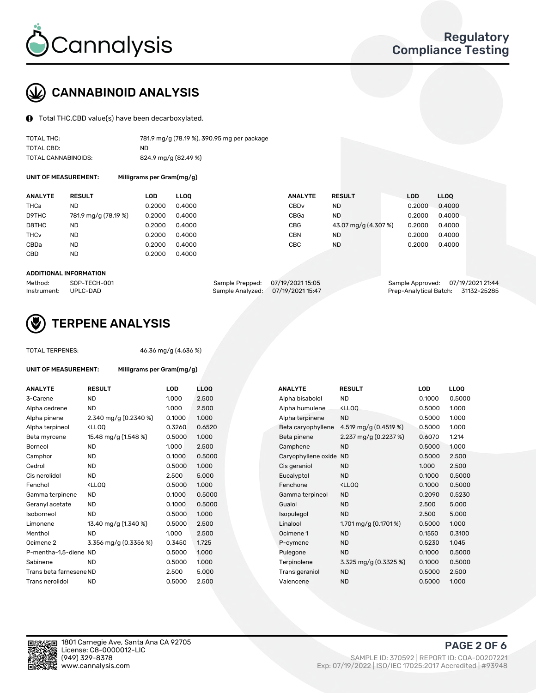

# CANNABINOID ANALYSIS

Total THC,CBD value(s) have been decarboxylated.

| TOTAL THC:          | 781.9 mg/g (78.19 %), 390.95 mg per package |
|---------------------|---------------------------------------------|
| TOTAL CBD:          | ND.                                         |
| TOTAL CANNABINOIDS: | 824.9 mg/g (82.49 %)                        |

UNIT OF MEASUREMENT: Milligrams per Gram(mg/g)

| <b>ANALYTE</b>         | <b>RESULT</b>        | LOD    | <b>LLOO</b> | <b>ANALYTE</b>   | <b>RESULT</b>        | <b>LOD</b> | <b>LLOO</b> |
|------------------------|----------------------|--------|-------------|------------------|----------------------|------------|-------------|
| THCa                   | ND                   | 0.2000 | 0.4000      | CBD <sub>v</sub> | <b>ND</b>            | 0.2000     | 0.4000      |
| D9THC                  | 781.9 mg/g (78.19 %) | 0.2000 | 0.4000      | CBGa             | <b>ND</b>            | 0.2000     | 0.4000      |
| D8THC                  | ND                   | 0.2000 | 0.4000      | CBG              | 43.07 mg/g (4.307 %) | 0.2000     | 0.4000      |
| <b>THC<sub>v</sub></b> | ND                   | 0.2000 | 0.4000      | CBN              | <b>ND</b>            | 0.2000     | 0.4000      |
| CBDa                   | <b>ND</b>            | 0.2000 | 0.4000      | CBC              | <b>ND</b>            | 0.2000     | 0.4000      |
| CBD                    | ND                   | 0.2000 | 0.4000      |                  |                      |            |             |

#### ADDITIONAL INFORMATION

| Method:              | SOP-TECH-001 | Sample Prepped: 07/19/2021 15:05  | Sample Approved: 07/19/2021 21:44  |  |
|----------------------|--------------|-----------------------------------|------------------------------------|--|
| Instrument: UPLC-DAD |              | Sample Analyzed: 07/19/2021 15:47 | Prep-Analytical Batch: 31132-25285 |  |



## TERPENE ANALYSIS

UNIT OF MEASUREMENT: Milligrams per Gram(mg/g)

| TUTAL TERPENES: |  |
|-----------------|--|
|                 |  |
|                 |  |

TOTAL TERPENES: 46.36 mg/g (4.636 %)

| <b>ANALYTE</b>          | <b>RESULT</b>                                                                                                                                      | <b>LOD</b> | <b>LLOO</b> |  | <b>ANALYTE</b>         | <b>RESULT</b>                                       | <b>LOD</b> | <b>LLOQ</b> |
|-------------------------|----------------------------------------------------------------------------------------------------------------------------------------------------|------------|-------------|--|------------------------|-----------------------------------------------------|------------|-------------|
| 3-Carene                | <b>ND</b>                                                                                                                                          | 1.000      | 2.500       |  | Alpha bisabolol        | <b>ND</b>                                           | 0.1000     | 0.5000      |
| Alpha cedrene           | <b>ND</b>                                                                                                                                          | 1.000      | 2.500       |  | Alpha humulene         | <lloq< td=""><td>0.5000</td><td>1.000</td></lloq<>  | 0.5000     | 1.000       |
| Alpha pinene            | 2.340 mg/g (0.2340 %)                                                                                                                              | 0.1000     | 1.000       |  | Alpha terpinene        | <b>ND</b>                                           | 0.5000     | 1.000       |
| Alpha terpineol         | <ll0q< td=""><td>0.3260</td><td>0.6520</td><td></td><td>Beta caryophyllene</td><td>4.519 mg/g (0.4519 %)</td><td>0.5000</td><td>1.000</td></ll0q<> | 0.3260     | 0.6520      |  | Beta caryophyllene     | 4.519 mg/g (0.4519 %)                               | 0.5000     | 1.000       |
| Beta myrcene            | 15.48 mg/g (1.548 %)                                                                                                                               | 0.5000     | 1.000       |  | Beta pinene            | 2.237 mg/g (0.2237 %)                               | 0.6070     | 1.214       |
| Borneol                 | <b>ND</b>                                                                                                                                          | 1.000      | 2.500       |  | Camphene               | <b>ND</b>                                           | 0.5000     | 1.000       |
| Camphor                 | <b>ND</b>                                                                                                                                          | 0.1000     | 0.5000      |  | Caryophyllene oxide ND |                                                     | 0.5000     | 2.500       |
| Cedrol                  | <b>ND</b>                                                                                                                                          | 0.5000     | 1.000       |  | Cis geraniol           | <b>ND</b>                                           | 1.000      | 2.500       |
| Cis nerolidol           | <b>ND</b>                                                                                                                                          | 2.500      | 5.000       |  | Eucalyptol             | <b>ND</b>                                           | 0.1000     | 0.5000      |
| Fenchol                 | <lloq< td=""><td>0.5000</td><td>1.000</td><td></td><td>Fenchone</td><td><lloq< td=""><td>0.1000</td><td>0.5000</td></lloq<></td></lloq<>           | 0.5000     | 1.000       |  | Fenchone               | <lloq< td=""><td>0.1000</td><td>0.5000</td></lloq<> | 0.1000     | 0.5000      |
| Gamma terpinene         | <b>ND</b>                                                                                                                                          | 0.1000     | 0.5000      |  | Gamma terpineol        | <b>ND</b>                                           | 0.2090     | 0.5230      |
| Geranyl acetate         | <b>ND</b>                                                                                                                                          | 0.1000     | 0.5000      |  | Guaiol                 | <b>ND</b>                                           | 2.500      | 5.000       |
| Isoborneol              | <b>ND</b>                                                                                                                                          | 0.5000     | 1.000       |  | Isopulegol             | <b>ND</b>                                           | 2.500      | 5.000       |
| Limonene                | 13.40 mg/g (1.340 %)                                                                                                                               | 0.5000     | 2.500       |  | Linalool               | $1.701$ mg/g $(0.1701\%)$                           | 0.5000     | 1.000       |
| Menthol                 | <b>ND</b>                                                                                                                                          | 1.000      | 2.500       |  | Ocimene 1              | <b>ND</b>                                           | 0.1550     | 0.3100      |
| Ocimene 2               | 3.356 mg/g (0.3356 %)                                                                                                                              | 0.3450     | 1.725       |  | P-cymene               | <b>ND</b>                                           | 0.5230     | 1.045       |
| P-mentha-1,5-diene ND   |                                                                                                                                                    | 0.5000     | 1.000       |  | Pulegone               | <b>ND</b>                                           | 0.1000     | 0.5000      |
| Sabinene                | <b>ND</b>                                                                                                                                          | 0.5000     | 1.000       |  | Terpinolene            | 3.325 mg/g (0.3325 %)                               | 0.1000     | 0.5000      |
| Trans beta farnesene ND |                                                                                                                                                    | 2.500      | 5.000       |  | Trans geraniol         | <b>ND</b>                                           | 0.5000     | 2.500       |
| Trans nerolidol         | <b>ND</b>                                                                                                                                          | 0.5000     | 2.500       |  | Valencene              | <b>ND</b>                                           | 0.5000     | 1.000       |

| ANALYTE                | <b>RESULT</b>                                       | LOD    | <b>LLOO</b> |
|------------------------|-----------------------------------------------------|--------|-------------|
| Alpha bisabolol        | ND.                                                 | 0.1000 | 0.5000      |
| Alpha humulene         | <lloq< td=""><td>0.5000</td><td>1.000</td></lloq<>  | 0.5000 | 1.000       |
| Alpha terpinene        | ND.                                                 | 0.5000 | 1.000       |
| Beta caryophyllene     | 4.519 mg/g $(0.4519 \%)$                            | 0.5000 | 1.000       |
| Beta pinene            | 2.237 mg/g (0.2237 %)                               | 0.6070 | 1.214       |
| Camphene               | <b>ND</b>                                           | 0.5000 | 1.000       |
| Caryophyllene oxide ND |                                                     | 0.5000 | 2.500       |
| Cis geraniol           | <b>ND</b>                                           | 1.000  | 2.500       |
| Eucalyptol             | ND                                                  | 0.1000 | 0.5000      |
| Fenchone               | <lloq< td=""><td>0.1000</td><td>0.5000</td></lloq<> | 0.1000 | 0.5000      |
| Gamma terpineol        | <b>ND</b>                                           | 0.2090 | 0.5230      |
| Guaiol                 | <b>ND</b>                                           | 2.500  | 5.000       |
| Isopulegol             | <b>ND</b>                                           | 2.500  | 5.000       |
| Linalool               | 1.701 mg/g $(0.1701\%)$                             | 0.5000 | 1.000       |
| Ocimene 1              | <b>ND</b>                                           | 0.1550 | 0.3100      |
| P-cymene               | <b>ND</b>                                           | 0.5230 | 1.045       |
| Pulegone               | <b>ND</b>                                           | 0.1000 | 0.5000      |
| Terpinolene            | 3.325 mg/g (0.3325 %)                               | 0.1000 | 0.5000      |
| Trans geraniol         | <b>ND</b>                                           | 0.5000 | 2.500       |
| Valencene              | <b>ND</b>                                           | 0.5000 | 1.000       |



PAGE 2 OF 6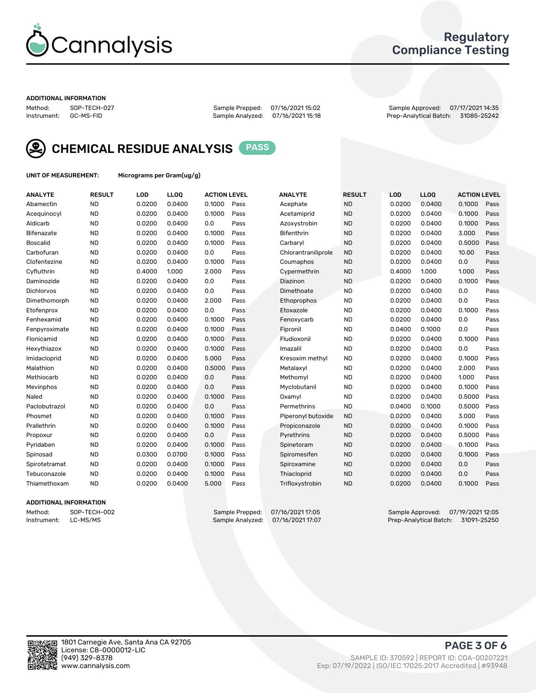

## Regulatory Compliance Testing

#### ADDITIONAL INFORMATION

Method: SOP-TECH-027 Sample Prepped: 07/16/2021 15:02 Sample Approved: 07/17/2021 14:35 Prep-Analytical Batch: 31085-25242



CHEMICAL RESIDUE ANALYSIS PASS

UNIT OF MEASUREMENT: Micrograms per Gram(ug/g)

| <b>ANALYTE</b>    | <b>RESULT</b> | LOD    | LL <sub>OO</sub> | <b>ACTION LEVEL</b> |      | <b>ANALYTE</b>      | <b>RESULT</b> | LOD    | <b>LLOQ</b> | <b>ACTION LEVEL</b> |      |
|-------------------|---------------|--------|------------------|---------------------|------|---------------------|---------------|--------|-------------|---------------------|------|
| Abamectin         | <b>ND</b>     | 0.0200 | 0.0400           | 0.1000              | Pass | Acephate            | <b>ND</b>     | 0.0200 | 0.0400      | 0.1000              | Pass |
| Acequinocyl       | <b>ND</b>     | 0.0200 | 0.0400           | 0.1000              | Pass | Acetamiprid         | <b>ND</b>     | 0.0200 | 0.0400      | 0.1000              | Pass |
| Aldicarb          | <b>ND</b>     | 0.0200 | 0.0400           | 0.0                 | Pass | Azoxystrobin        | <b>ND</b>     | 0.0200 | 0.0400      | 0.1000              | Pass |
| Bifenazate        | <b>ND</b>     | 0.0200 | 0.0400           | 0.1000              | Pass | <b>Bifenthrin</b>   | <b>ND</b>     | 0.0200 | 0.0400      | 3.000               | Pass |
| <b>Boscalid</b>   | <b>ND</b>     | 0.0200 | 0.0400           | 0.1000              | Pass | Carbaryl            | <b>ND</b>     | 0.0200 | 0.0400      | 0.5000              | Pass |
| Carbofuran        | <b>ND</b>     | 0.0200 | 0.0400           | 0.0                 | Pass | Chlorantraniliprole | <b>ND</b>     | 0.0200 | 0.0400      | 10.00               | Pass |
| Clofentezine      | <b>ND</b>     | 0.0200 | 0.0400           | 0.1000              | Pass | Coumaphos           | <b>ND</b>     | 0.0200 | 0.0400      | 0.0                 | Pass |
| Cyfluthrin        | <b>ND</b>     | 0.4000 | 1.000            | 2.000               | Pass | Cypermethrin        | <b>ND</b>     | 0.4000 | 1.000       | 1.000               | Pass |
| Daminozide        | <b>ND</b>     | 0.0200 | 0.0400           | 0.0                 | Pass | Diazinon            | <b>ND</b>     | 0.0200 | 0.0400      | 0.1000              | Pass |
| <b>Dichlorvos</b> | <b>ND</b>     | 0.0200 | 0.0400           | 0.0                 | Pass | Dimethoate          | <b>ND</b>     | 0.0200 | 0.0400      | 0.0                 | Pass |
| Dimethomorph      | <b>ND</b>     | 0.0200 | 0.0400           | 2.000               | Pass | <b>Ethoprophos</b>  | <b>ND</b>     | 0.0200 | 0.0400      | 0.0                 | Pass |
| Etofenprox        | <b>ND</b>     | 0.0200 | 0.0400           | 0.0                 | Pass | Etoxazole           | <b>ND</b>     | 0.0200 | 0.0400      | 0.1000              | Pass |
| Fenhexamid        | <b>ND</b>     | 0.0200 | 0.0400           | 0.1000              | Pass | Fenoxycarb          | <b>ND</b>     | 0.0200 | 0.0400      | 0.0                 | Pass |
| Fenpyroximate     | <b>ND</b>     | 0.0200 | 0.0400           | 0.1000              | Pass | Fipronil            | <b>ND</b>     | 0.0400 | 0.1000      | 0.0                 | Pass |
| Flonicamid        | <b>ND</b>     | 0.0200 | 0.0400           | 0.1000              | Pass | Fludioxonil         | <b>ND</b>     | 0.0200 | 0.0400      | 0.1000              | Pass |
| Hexythiazox       | <b>ND</b>     | 0.0200 | 0.0400           | 0.1000              | Pass | Imazalil            | <b>ND</b>     | 0.0200 | 0.0400      | 0.0                 | Pass |
| Imidacloprid      | <b>ND</b>     | 0.0200 | 0.0400           | 5.000               | Pass | Kresoxim methyl     | <b>ND</b>     | 0.0200 | 0.0400      | 0.1000              | Pass |
| Malathion         | <b>ND</b>     | 0.0200 | 0.0400           | 0.5000              | Pass | Metalaxyl           | <b>ND</b>     | 0.0200 | 0.0400      | 2.000               | Pass |
| Methiocarb        | <b>ND</b>     | 0.0200 | 0.0400           | 0.0                 | Pass | Methomyl            | <b>ND</b>     | 0.0200 | 0.0400      | 1.000               | Pass |
| Mevinphos         | <b>ND</b>     | 0.0200 | 0.0400           | 0.0                 | Pass | Myclobutanil        | <b>ND</b>     | 0.0200 | 0.0400      | 0.1000              | Pass |
| Naled             | <b>ND</b>     | 0.0200 | 0.0400           | 0.1000              | Pass | Oxamyl              | <b>ND</b>     | 0.0200 | 0.0400      | 0.5000              | Pass |
| Paclobutrazol     | <b>ND</b>     | 0.0200 | 0.0400           | 0.0                 | Pass | Permethrins         | <b>ND</b>     | 0.0400 | 0.1000      | 0.5000              | Pass |
| Phosmet           | <b>ND</b>     | 0.0200 | 0.0400           | 0.1000              | Pass | Piperonyl butoxide  | <b>ND</b>     | 0.0200 | 0.0400      | 3.000               | Pass |
| Prallethrin       | <b>ND</b>     | 0.0200 | 0.0400           | 0.1000              | Pass | Propiconazole       | <b>ND</b>     | 0.0200 | 0.0400      | 0.1000              | Pass |
| Propoxur          | <b>ND</b>     | 0.0200 | 0.0400           | 0.0                 | Pass | Pyrethrins          | <b>ND</b>     | 0.0200 | 0.0400      | 0.5000              | Pass |
| Pyridaben         | <b>ND</b>     | 0.0200 | 0.0400           | 0.1000              | Pass | Spinetoram          | <b>ND</b>     | 0.0200 | 0.0400      | 0.1000              | Pass |
| Spinosad          | <b>ND</b>     | 0.0300 | 0.0700           | 0.1000              | Pass | Spiromesifen        | <b>ND</b>     | 0.0200 | 0.0400      | 0.1000              | Pass |
| Spirotetramat     | <b>ND</b>     | 0.0200 | 0.0400           | 0.1000              | Pass | Spiroxamine         | <b>ND</b>     | 0.0200 | 0.0400      | 0.0                 | Pass |
| Tebuconazole      | <b>ND</b>     | 0.0200 | 0.0400           | 0.1000              | Pass | Thiacloprid         | <b>ND</b>     | 0.0200 | 0.0400      | 0.0                 | Pass |
| Thiamethoxam      | <b>ND</b>     | 0.0200 | 0.0400           | 5.000               | Pass | Trifloxystrobin     | <b>ND</b>     | 0.0200 | 0.0400      | 0.1000              | Pass |

## ADDITIONAL INFORMATION

Method: SOP-TECH-002 Sample Prepped: 07/16/2021 17:05 Sample Approved: 07/19/2021 12:05<br>Instrument: LC-MS/MS Sample Analyzed: 07/16/2021 17:07 Prep-Analytical Batch: 31091-25250 Prep-Analytical Batch: 31091-25250

PAGE 3 OF 6

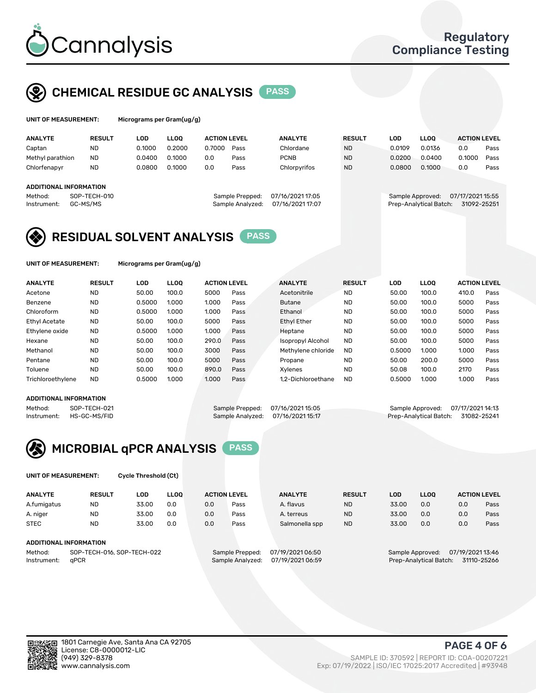

# CHEMICAL RESIDUE GC ANALYSIS PASS

| UNIT OF MEASUREMENT: | Microgr |
|----------------------|---------|
|----------------------|---------|

ams per Gram(ug/g)

| <b>ANALYTE</b>                                   | <b>RESULT</b>            | LOD    | <b>LLOO</b> | <b>ACTION LEVEL</b> |                                     | <b>ANALYTE</b>                       | <b>RESULT</b> | LOD    | <b>LLOO</b>                                | <b>ACTION LEVEL</b>             |      |
|--------------------------------------------------|--------------------------|--------|-------------|---------------------|-------------------------------------|--------------------------------------|---------------|--------|--------------------------------------------|---------------------------------|------|
| Captan                                           | <b>ND</b>                | 0.1000 | 0.2000      | 0.7000              | Pass                                | Chlordane                            | <b>ND</b>     | 0.0109 | 0.0136                                     | 0.0                             | Pass |
| Methyl parathion                                 | <b>ND</b>                | 0.0400 | 0.1000      | 0.0                 | Pass                                | <b>PCNB</b>                          | <b>ND</b>     | 0.0200 | 0.0400                                     | 0.1000                          | Pass |
| Chlorfenapyr                                     | <b>ND</b>                | 0.0800 | 0.1000      | 0.0                 | Pass                                | Chlorpyrifos                         | <b>ND</b>     | 0.0800 | 0.1000                                     | 0.0                             | Pass |
| ADDITIONAL INFORMATION<br>Method:<br>Instrument: | SOP-TECH-010<br>GC-MS/MS |        |             |                     | Sample Prepped:<br>Sample Analyzed: | 07/16/2021 17:05<br>07/16/2021 17:07 |               |        | Sample Approved:<br>Prep-Analytical Batch: | 07/17/2021 15:55<br>31092-25251 |      |

## RESIDUAL SOLVENT ANALYSIS PASS

UNIT OF MEASUREMENT: Micrograms per Gram(ug/g)

| <b>ANALYTE</b>       | <b>RESULT</b> | LOD    | <b>LLOO</b> | <b>ACTION LEVEL</b> |      | <b>ANALYTE</b>           | <b>RESULT</b> | LOD    | <b>LLOO</b> | <b>ACTION LEVEL</b> |      |
|----------------------|---------------|--------|-------------|---------------------|------|--------------------------|---------------|--------|-------------|---------------------|------|
| Acetone              | <b>ND</b>     | 50.00  | 100.0       | 5000                | Pass | Acetonitrile             | <b>ND</b>     | 50.00  | 100.0       | 410.0               | Pass |
| Benzene              | <b>ND</b>     | 0.5000 | 1.000       | 1.000               | Pass | <b>Butane</b>            | <b>ND</b>     | 50.00  | 100.0       | 5000                | Pass |
| Chloroform           | <b>ND</b>     | 0.5000 | 1.000       | 1.000               | Pass | Ethanol                  | <b>ND</b>     | 50.00  | 100.0       | 5000                | Pass |
| <b>Ethyl Acetate</b> | <b>ND</b>     | 50.00  | 100.0       | 5000                | Pass | <b>Ethyl Ether</b>       | <b>ND</b>     | 50.00  | 100.0       | 5000                | Pass |
| Ethylene oxide       | <b>ND</b>     | 0.5000 | 1.000       | 1.000               | Pass | Heptane                  | <b>ND</b>     | 50.00  | 100.0       | 5000                | Pass |
| Hexane               | <b>ND</b>     | 50.00  | 100.0       | 290.0               | Pass | <b>Isopropyl Alcohol</b> | <b>ND</b>     | 50.00  | 100.0       | 5000                | Pass |
| Methanol             | <b>ND</b>     | 50.00  | 100.0       | 3000                | Pass | Methylene chloride       | <b>ND</b>     | 0.5000 | 1.000       | 1.000               | Pass |
| Pentane              | <b>ND</b>     | 50.00  | 100.0       | 5000                | Pass | Propane                  | <b>ND</b>     | 50.00  | 200.0       | 5000                | Pass |
| Toluene              | <b>ND</b>     | 50.00  | 100.0       | 890.0               | Pass | Xvlenes                  | <b>ND</b>     | 50.08  | 100.0       | 2170                | Pass |
| Trichloroethylene    | <b>ND</b>     | 0.5000 | 1.000       | 1.000               | Pass | 1.2-Dichloroethane       | <b>ND</b>     | 0.5000 | 1.000       | 1.000               | Pass |

## ADDITIONAL INFORMATION

Method: SOP-TECH-021 Sample Prepped: 07/16/2021 15:05 Sample Approved: 07/17/2021 14:13<br>Instrument: HS-GC-MS/FID Sample Analyzed: 07/16/2021 15:17 Prep-Analytical Batch: 31082-25241 Prep-Analytical Batch: 31082-25241



UNIT OF MEASUREMENT: Cycle Threshold (Ct)

| <b>ANALYTE</b> | <b>RESULT</b>              | LOD   | <b>LLOO</b> |     | <b>ACTION LEVEL</b> | <b>ANALYTE</b>   | <b>RESULT</b> | LOD   | <b>LLOO</b>      | <b>ACTION LEVEL</b> |      |
|----------------|----------------------------|-------|-------------|-----|---------------------|------------------|---------------|-------|------------------|---------------------|------|
| A.fumigatus    | <b>ND</b>                  | 33.00 | 0.0         | 0.0 | Pass                | A. flavus        | <b>ND</b>     | 33.00 | 0.0              | 0.0                 | Pass |
| A. niger       | <b>ND</b>                  | 33.00 | 0.0         | 0.0 | Pass                | A. terreus       | <b>ND</b>     | 33.00 | 0.0              | 0.0                 | Pass |
| <b>STEC</b>    | <b>ND</b>                  | 33.00 | 0.0         | 0.0 | Pass                | Salmonella spp   | <b>ND</b>     | 33.00 | 0.0              | 0.0                 | Pass |
|                | ADDITIONAL INFORMATION     |       |             |     |                     |                  |               |       |                  |                     |      |
| Method:        | SOP-TECH-016, SOP-TECH-022 |       |             |     | Sample Prepped:     | 07/19/2021 06:50 |               |       | Sample Approved: | 07/19/2021 13:46    |      |

Instrument: qPCR<br>Instrument: qPCR Sample Analyzed: 07/19/2021 06:59 Prep-Analytical Batch: 31110-25266

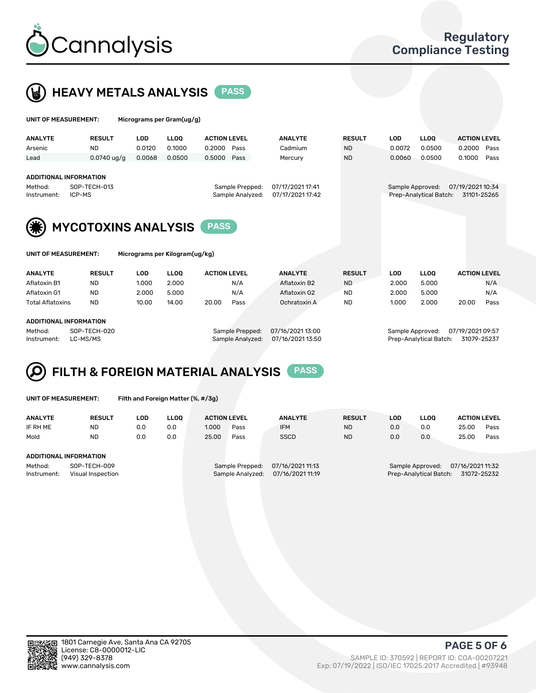



| UNIT OF MEASUREMENT:                                   |                            | Micrograms per Gram(ug/g) |             |                     |                                                                             |                |               |                                       |             |                     |      |
|--------------------------------------------------------|----------------------------|---------------------------|-------------|---------------------|-----------------------------------------------------------------------------|----------------|---------------|---------------------------------------|-------------|---------------------|------|
| <b>ANALYTE</b>                                         | <b>RESULT</b>              | <b>LOD</b>                | <b>LLOO</b> | <b>ACTION LEVEL</b> |                                                                             | <b>ANALYTE</b> | <b>RESULT</b> | <b>LOD</b>                            | <b>LLOQ</b> | <b>ACTION LEVEL</b> |      |
| Arsenic                                                | <b>ND</b>                  | 0.0120                    | 0.1000      | 0.2000              | Pass                                                                        | Cadmium        | <b>ND</b>     | 0.0072                                | 0.0500      | 0.2000              | Pass |
| Lead                                                   | $0.0740$ ug/g              | 0.0068                    | 0.0500      | 0.5000              | Pass                                                                        | Mercury        | <b>ND</b>     | 0.0060                                | 0.0500      | 0.1000              | Pass |
| <b>ADDITIONAL INFORMATION</b><br>Method:               | SOP-TECH-013               |                           |             | Sample Approved:    | 07/19/2021 10:34                                                            |                |               |                                       |             |                     |      |
| ICP-MS<br>Instrument:                                  |                            |                           |             |                     | 07/17/2021 17:41<br>Sample Prepped:<br>07/17/2021 17:42<br>Sample Analyzed: |                |               | Prep-Analytical Batch:<br>31101-25265 |             |                     |      |
|                                                        | <b>MYCOTOXINS ANALYSIS</b> |                           |             |                     |                                                                             |                |               |                                       |             |                     |      |
| Micrograms per Kilogram(ug/kg)<br>UNIT OF MEASUREMENT: |                            |                           |             |                     |                                                                             |                |               |                                       |             |                     |      |

| <b>ANALYTE</b>          | <b>RESULT</b> | LOD   | LLOO  | <b>ACTION LEVEL</b> |      | <b>ANALYTE</b> | <b>RESULT</b> | ∟OD   | <b>LLOO</b> | <b>ACTION LEVEL</b> |      |
|-------------------------|---------------|-------|-------|---------------------|------|----------------|---------------|-------|-------------|---------------------|------|
| Aflatoxin B1            | ND            | 1.000 | 2.000 |                     | N/A  | Aflatoxin B2   | <b>ND</b>     | 2.000 | 5.000       |                     | N/A  |
| Aflatoxin G1            | <b>ND</b>     | 2.000 | 5.000 |                     | N/A  | Aflatoxin G2   | <b>ND</b>     | 2.000 | 5.000       |                     | N/A  |
| <b>Total Aflatoxins</b> | <b>ND</b>     | 10.00 | 14.00 | 20.00               | Pass | Ochratoxin A   | <b>ND</b>     | 1.000 | 2.000       | 20.00               | Pass |
|                         |               |       |       |                     |      |                |               |       |             |                     |      |
| ADDITIONAL INFORMATION  |               |       |       |                     |      |                |               |       |             |                     |      |

#### ADDITIONAL INFORMATION

Method: SOP-TECH-020 Sample Prepped: 07/16/2021 13:00 Sample Approved: 07/19/2021 09:57 Instrument: LC-MS/MS Sample Analyzed: 07/16/2021 13:50 Prep-Analytical Batch: 31079-25237



UNIT OF MEASUREMENT: Filth and Foreign Matter (%, #/3g)

| <b>ANALYTE</b>                   | <b>RESULT</b> | LOD | <b>LLOO</b> | <b>ACTION LEVEL</b>                 |                  | <b>ANALYTE</b>   | <b>RESULT</b>                         | LOD                                  | <b>LLOO</b> | <b>ACTION LEVEL</b> |      |
|----------------------------------|---------------|-----|-------------|-------------------------------------|------------------|------------------|---------------------------------------|--------------------------------------|-------------|---------------------|------|
| IF RH ME                         | ND            | 0.0 | 0.0         | 1.000                               | Pass             | <b>IFM</b>       | <b>ND</b>                             | 0.0                                  | 0.0         | 25.00               | Pass |
| Mold                             | <b>ND</b>     | 0.0 | 0.0         | 25.00                               | Pass             | <b>SSCD</b>      | <b>ND</b>                             | 0.0                                  | 0.0         | 25.00               | Pass |
|                                  |               |     |             |                                     |                  |                  |                                       |                                      |             |                     |      |
| ADDITIONAL INFORMATION           |               |     |             |                                     |                  |                  |                                       |                                      |             |                     |      |
| SOP-TECH-009<br>Method:          |               |     |             | 07/16/2021 11:13<br>Sample Prepped: |                  |                  |                                       | 07/16/2021 11:32<br>Sample Approved: |             |                     |      |
| Instrument:<br>Visual Inspection |               |     |             |                                     | Sample Analyzed: | 07/16/2021 11:19 | Prep-Analytical Batch:<br>31072-25232 |                                      |             |                     |      |



PAGE 5 OF 6